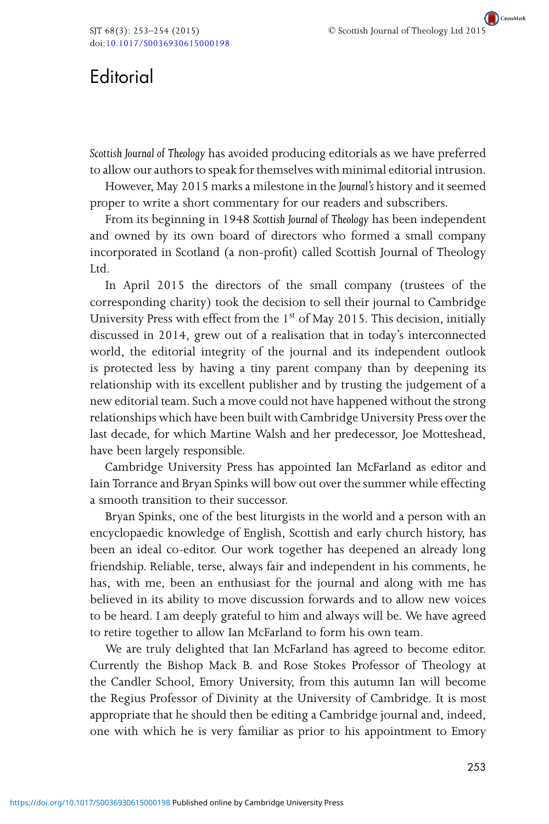CrossMark <sup>C</sup> Scottish Journal of Theology Ltd 2015

## **Editorial**

*Scottish Journal of Theology* has avoided producing editorials as we have preferred to allow our authors to speak for themselves with minimal editorial intrusion.

However, May 2015 marks a milestone in the *Journal's* history and it seemed proper to write a short commentary for our readers and subscribers.

From its beginning in 1948 *Scottish Journal of Theology* has been independent and owned by its own board of directors who formed a small company incorporated in Scotland (a non-profit) called Scottish Journal of Theology Ltd.

In April 2015 the directors of the small company (trustees of the corresponding charity) took the decision to sell their journal to Cambridge University Press with effect from the  $1<sup>st</sup>$  of May 2015. This decision, initially discussed in 2014, grew out of a realisation that in today's interconnected world, the editorial integrity of the journal and its independent outlook is protected less by having a tiny parent company than by deepening its relationship with its excellent publisher and by trusting the judgement of a new editorial team. Such a move could not have happened without the strong relationships which have been built with Cambridge University Press over the last decade, for which Martine Walsh and her predecessor, Joe Motteshead, have been largely responsible.

Cambridge University Press has appointed Ian McFarland as editor and Iain Torrance and Bryan Spinks will bow out over the summer while effecting a smooth transition to their successor.

Bryan Spinks, one of the best liturgists in the world and a person with an encyclopaedic knowledge of English, Scottish and early church history, has been an ideal co-editor. Our work together has deepened an already long friendship. Reliable, terse, always fair and independent in his comments, he has, with me, been an enthusiast for the journal and along with me has believed in its ability to move discussion forwards and to allow new voices to be heard. I am deeply grateful to him and always will be. We have agreed to retire together to allow Ian McFarland to form his own team.

We are truly delighted that Ian McFarland has agreed to become editor. Currently the Bishop Mack B. and Rose Stokes Professor of Theology at the Candler School, Emory University, from this autumn Ian will become the Regius Professor of Divinity at the University of Cambridge. It is most appropriate that he should then be editing a Cambridge journal and, indeed, one with which he is very familiar as prior to his appointment to Emory